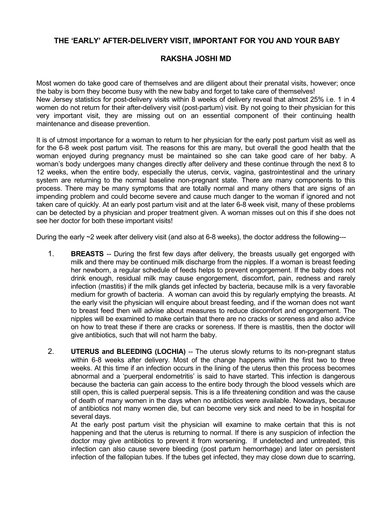## **THE 'EARLY' AFTER-DELIVERY VISIT, IMPORTANT FOR YOU AND YOUR BABY**

## **RAKSHA JOSHI MD**

Most women do take good care of themselves and are diligent about their prenatal visits, however; once the baby is born they become busy with the new baby and forget to take care of themselves! New Jersey statistics for post-delivery visits within 8 weeks of delivery reveal that almost 25% i.e. 1 in 4 women do not return for their after-delivery visit (post-partum) visit. By not going to their physician for this very important visit, they are missing out on an essential component of their continuing health maintenance and disease prevention.

It is of utmost importance for a woman to return to her physician for the early post partum visit as well as for the 6-8 week post partum visit. The reasons for this are many, but overall the good health that the woman enjoyed during pregnancy must be maintained so she can take good care of her baby. A woman's body undergoes many changes directly after delivery and these continue through the next 8 to 12 weeks, when the entire body, especially the uterus, cervix, vagina, gastrointestinal and the urinary system are returning to the normal baseline non-pregnant state. There are many components to this process. There may be many symptoms that are totally normal and many others that are signs of an impending problem and could become severe and cause much danger to the woman if ignored and not taken care of quickly. At an early post partum visit and at the later 6-8 week visit, many of these problems can be detected by a physician and proper treatment given. A woman misses out on this if she does not see her doctor for both these important visits!

During the early ~2 week after delivery visit (and also at 6-8 weeks), the doctor address the following---

- 1. **BREASTS** -- During the first few days after delivery, the breasts usually get engorged with milk and there may be continued milk discharge from the nipples. If a woman is breast feeding her newborn, a regular schedule of feeds helps to prevent engorgement. If the baby does not drink enough, residual milk may cause engorgement, discomfort, pain, redness and rarely infection (mastitis) if the milk glands get infected by bacteria, because milk is a very favorable medium for growth of bacteria. A woman can avoid this by regularly emptying the breasts. At the early visit the physician will enquire about breast feeding, and if the woman does not want to breast feed then will advise about measures to reduce discomfort and engorgement. The nipples will be examined to make certain that there are no cracks or soreness and also advice on how to treat these if there are cracks or soreness. If there is mastitis, then the doctor will give antibiotics, such that will not harm the baby.
- 2. **UTERUS and BLEEDING (LOCHIA)** -- The uterus slowly returns to its non-pregnant status within 6-8 weeks after delivery. Most of the change happens within the first two to three weeks. At this time if an infection occurs in the lining of the uterus then this process becomes abnormal and a 'puerperal endometritis' is said to have started. This infection is dangerous because the bacteria can gain access to the entire body through the blood vessels which are still open, this is called puerperal sepsis. This is a life threatening condition and was the cause of death of many women in the days when no antibiotics were available. Nowadays, because of antibiotics not many women die, but can become very sick and need to be in hospital for several days.

At the early post partum visit the physician will examine to make certain that this is not happening and that the uterus is returning to normal. If there is any suspicion of infection the doctor may give antibiotics to prevent it from worsening. If undetected and untreated, this infection can also cause severe bleeding (post partum hemorrhage) and later on persistent infection of the fallopian tubes. If the tubes get infected, they may close down due to scarring,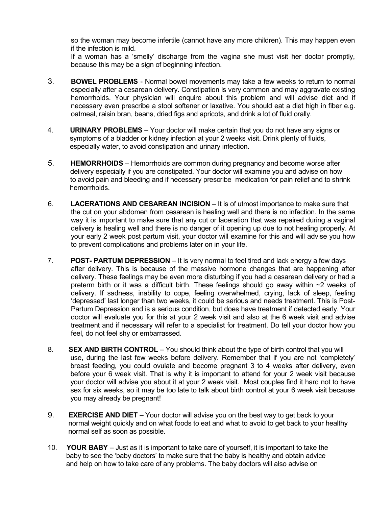so the woman may become infertile (cannot have any more children). This may happen even if the infection is mild.

If a woman has a 'smelly' discharge from the vagina she must visit her doctor promptly, because this may be a sign of beginning infection.

- 3. **BOWEL PROBLEMS**  Normal bowel movements may take a few weeks to return to normal especially after a cesarean delivery. Constipation is very common and may aggravate existing hemorrhoids. Your physician will enquire about this problem and will advise diet and if necessary even prescribe a stool softener or laxative. You should eat a diet high in fiber e.g. oatmeal, raisin bran, beans, dried figs and apricots, and drink a lot of fluid orally.
- 4. **URINARY PROBLEMS**  Your doctor will make certain that you do not have any signs or symptoms of a bladder or kidney infection at your 2 weeks visit. Drink plenty of fluids, especially water, to avoid constipation and urinary infection.
- 5. **HEMORRHOIDS**  Hemorrhoids are common during pregnancy and become worse after delivery especially if you are constipated. Your doctor will examine you and advise on how to avoid pain and bleeding and if necessary prescribe medication for pain relief and to shrink hemorrhoids.
- 6. **LACERATIONS AND CESAREAN INCISION**  It is of utmost importance to make sure that the cut on your abdomen from cesarean is healing well and there is no infection. In the same way it is important to make sure that any cut or laceration that was repaired during a vaginal delivery is healing well and there is no danger of it opening up due to not healing properly. At your early 2 week post partum visit, your doctor will examine for this and will advise you how to prevent complications and problems later on in your life.
- 7. **POST- PARTUM DEPRESSION**  It is very normal to feel tired and lack energy a few days after delivery. This is because of the massive hormone changes that are happening after delivery. These feelings may be even more disturbing if you had a cesarean delivery or had a preterm birth or it was a difficult birth. These feelings should go away within ~2 weeks of delivery. If sadness, inability to cope, feeling overwhelmed, crying, lack of sleep, feeling 'depressed' last longer than two weeks, it could be serious and needs treatment. This is Post-Partum Depression and is a serious condition, but does have treatment if detected early. Your doctor will evaluate you for this at your 2 week visit and also at the 6 week visit and advise treatment and if necessary will refer to a specialist for treatment. Do tell your doctor how you feel, do not feel shy or embarrassed.
- 8. **SEX AND BIRTH CONTROL** You should think about the type of birth control that you will use, during the last few weeks before delivery. Remember that if you are not 'completely' breast feeding, you could ovulate and become pregnant 3 to 4 weeks after delivery, even before your 6 week visit. That is why it is important to attend for your 2 week visit because your doctor will advise you about it at your 2 week visit. Most couples find it hard not to have sex for six weeks, so it may be too late to talk about birth control at your 6 week visit because you may already be pregnant!
- 9. **EXERCISE AND DIET** Your doctor will advise you on the best way to get back to your normal weight quickly and on what foods to eat and what to avoid to get back to your healthy normal self as soon as possible.
- 10. **YOUR BABY**  Just as it is important to take care of yourself, it is important to take the baby to see the 'baby doctors' to make sure that the baby is healthy and obtain advice and help on how to take care of any problems. The baby doctors will also advise on